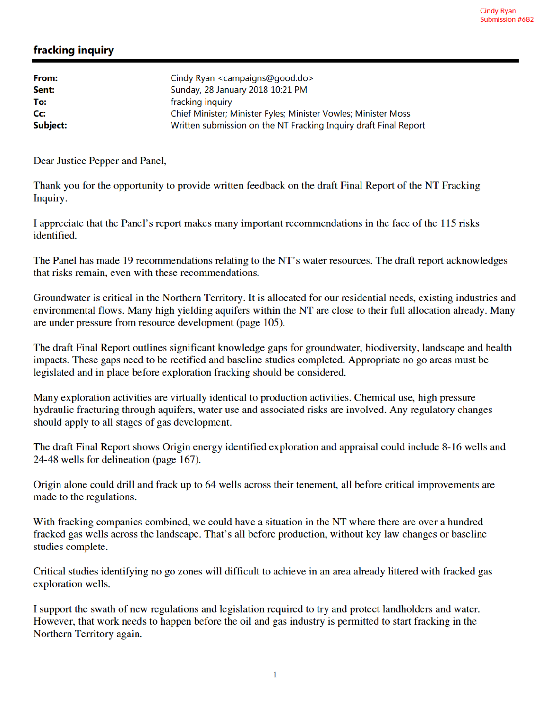## fracking inquiry

| From:    | Cindy Ryan <campaigns@good.do></campaigns@good.do>               |
|----------|------------------------------------------------------------------|
| Sent:    | Sunday, 28 January 2018 10:21 PM                                 |
| To:      | fracking inquiry                                                 |
| Cc:      | Chief Minister; Minister Fyles; Minister Vowles; Minister Moss   |
| Subject: | Written submission on the NT Fracking Inquiry draft Final Report |

Dear Justice Pepper and Panel,

Thank you for the opportunity to provide written feedback on the draft Final Report of the NT Fracking Inquiry.

I appreciate that the Panel's report makes many important recommendations in the face of the 115 risks identified.

The Panel has made 19 recommendations relating to the NT's water resources. The draft report acknowledges that risks remain, even with these recommendations.

Groundwater is critical in the Northern Territory. It is allocated for our residential needs, existing industries and environmental flows. Many high yielding aquifers within the NT are close to their full allocation already. Many are under pressure from resource development (page 105).

The draft Final Report outlines significant knowledge gaps for groundwater, biodiversity, landscape and health impacts. These gaps need to be rectified and baseline studies completed. Appropriate no go areas must be legislated and in place before exploration fracking should be considered.

Many exploration activities are virtually identical to production activities. Chemical use, high pressure hydraulic fracturing through aquifers, water use and associated risks are involved. Any regulatory changes should apply to all stages of gas development.

The draft Final Report shows Origin energy identified exploration and appraisal could include 8-16 wells and 24-48 wells for delineation (page 167).

Origin alone could drill and frack up to 64 wells across their tenement, all before critical improvements are made to the regulations.

With fracking companies combined, we could have a situation in the NT where there are over a hundred fracked gas wells across the landscape. That's all before production, without key law changes or baseline studies complete.

Critical studies identifying no go zones will difficult to achieve in an area already littered with fracked gas exploration wells.

I support the swath of new regulations and legislation required to try and protect landholders and water. However, that work needs to happen before the oil and gas industry is permitted to start fracking in the Northern Territory again.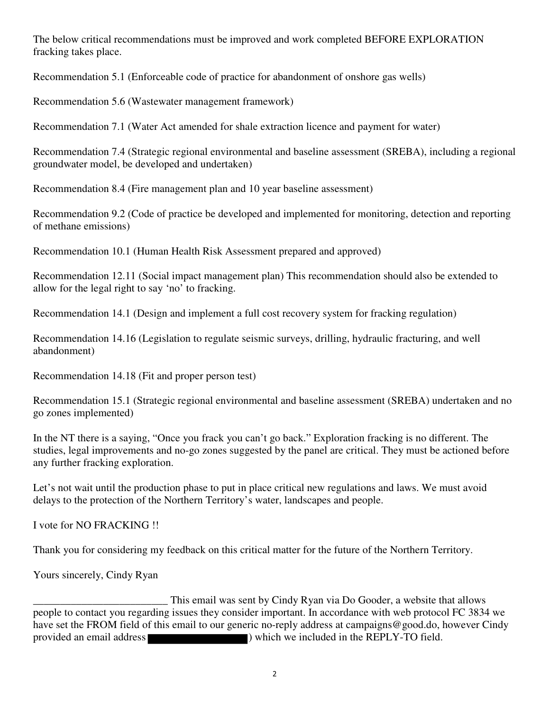The below critical recommendations must be improved and work completed BEFORE EXPLORATION fracking takes place.

Recommendation 5.1 (Enforceable code of practice for abandonment of onshore gas wells)

Recommendation 5.6 (Wastewater management framework)

Recommendation 7.1 (Water Act amended for shale extraction licence and payment for water)

Recommendation 7.4 (Strategic regional environmental and baseline assessment (SREBA), including a regional groundwater model, be developed and undertaken)

Recommendation 8.4 (Fire management plan and 10 year baseline assessment)

Recommendation 9.2 (Code of practice be developed and implemented for monitoring, detection and reporting of methane emissions)

Recommendation 10.1 (Human Health Risk Assessment prepared and approved)

Recommendation 12.11 (Social impact management plan) This recommendation should also be extended to allow for the legal right to say 'no' to fracking.

Recommendation 14.1 (Design and implement a full cost recovery system for fracking regulation)

Recommendation 14.16 (Legislation to regulate seismic surveys, drilling, hydraulic fracturing, and well abandonment)

Recommendation 14.18 (Fit and proper person test)

Recommendation 15.1 (Strategic regional environmental and baseline assessment (SREBA) undertaken and no go zones implemented)

In the NT there is a saying, "Once you frack you can't go back." Exploration fracking is no different. The studies, legal improvements and no-go zones suggested by the panel are critical. They must be actioned before any further fracking exploration.

Let's not wait until the production phase to put in place critical new regulations and laws. We must avoid delays to the protection of the Northern Territory's water, landscapes and people.

I vote for NO FRACKING !!

Thank you for considering my feedback on this critical matter for the future of the Northern Territory.

Yours sincerely, Cindy Ryan

This email was sent by Cindy Ryan via Do Gooder, a website that allows<br>people to contact you regarding issues they consider important. In accordance with web protocol FC 3834 we have set the FROM field of this email to our generic no-reply address at campaigns@good.do, however Cindy provided an email address ) which we included in the REPLY-TO field.